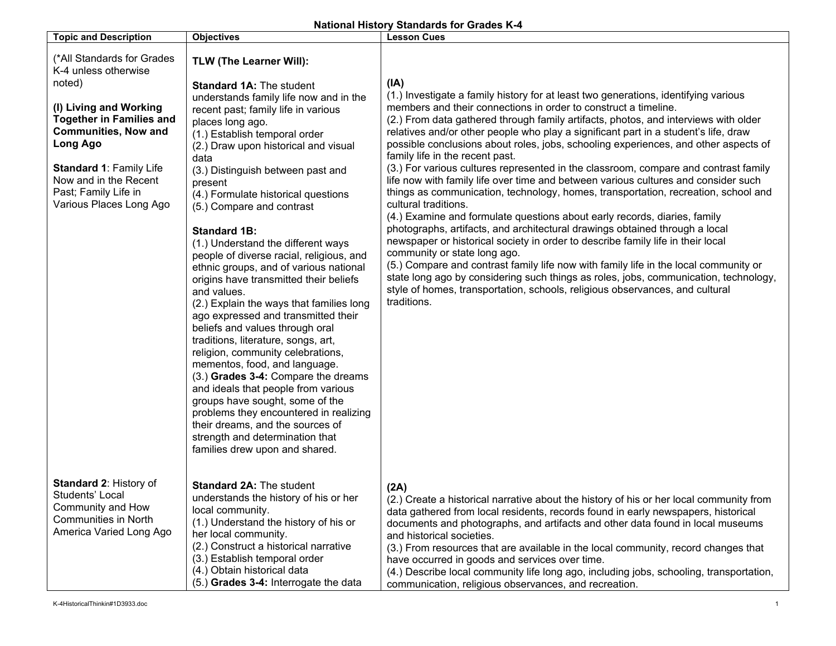## **National History Standards for Grades K-4**

| <b>Topic and Description</b>                                                                                                                                                                                                                                                       | <b>Objectives</b>                                                                                                                                                                                                                                                                                                                                                                                                                                                                                                                                                                                                                                                                                                                                                                                                                                                                                                                                                                                                                                                                       | <b>Lesson Cues</b>                                                                                                                                                                                                                                                                                                                                                                                                                                                                                                                                                                                                                                                                                                                                                                                                                                                                                                                                                                                                                                                                                                                                                                                                                                                                                                              |
|------------------------------------------------------------------------------------------------------------------------------------------------------------------------------------------------------------------------------------------------------------------------------------|-----------------------------------------------------------------------------------------------------------------------------------------------------------------------------------------------------------------------------------------------------------------------------------------------------------------------------------------------------------------------------------------------------------------------------------------------------------------------------------------------------------------------------------------------------------------------------------------------------------------------------------------------------------------------------------------------------------------------------------------------------------------------------------------------------------------------------------------------------------------------------------------------------------------------------------------------------------------------------------------------------------------------------------------------------------------------------------------|---------------------------------------------------------------------------------------------------------------------------------------------------------------------------------------------------------------------------------------------------------------------------------------------------------------------------------------------------------------------------------------------------------------------------------------------------------------------------------------------------------------------------------------------------------------------------------------------------------------------------------------------------------------------------------------------------------------------------------------------------------------------------------------------------------------------------------------------------------------------------------------------------------------------------------------------------------------------------------------------------------------------------------------------------------------------------------------------------------------------------------------------------------------------------------------------------------------------------------------------------------------------------------------------------------------------------------|
| (*All Standards for Grades<br>K-4 unless otherwise<br>noted)<br>(I) Living and Working<br><b>Together in Families and</b><br><b>Communities, Now and</b><br>Long Ago<br><b>Standard 1: Family Life</b><br>Now and in the Recent<br>Past; Family Life in<br>Various Places Long Ago | TLW (The Learner Will):<br><b>Standard 1A: The student</b><br>understands family life now and in the<br>recent past; family life in various<br>places long ago.<br>(1.) Establish temporal order<br>(2.) Draw upon historical and visual<br>data<br>(3.) Distinguish between past and<br>present<br>(4.) Formulate historical questions<br>(5.) Compare and contrast<br><b>Standard 1B:</b><br>(1.) Understand the different ways<br>people of diverse racial, religious, and<br>ethnic groups, and of various national<br>origins have transmitted their beliefs<br>and values.<br>(2.) Explain the ways that families long<br>ago expressed and transmitted their<br>beliefs and values through oral<br>traditions, literature, songs, art,<br>religion, community celebrations,<br>mementos, food, and language.<br>(3.) Grades 3-4: Compare the dreams<br>and ideals that people from various<br>groups have sought, some of the<br>problems they encountered in realizing<br>their dreams, and the sources of<br>strength and determination that<br>families drew upon and shared. | (IA)<br>(1.) Investigate a family history for at least two generations, identifying various<br>members and their connections in order to construct a timeline.<br>(2.) From data gathered through family artifacts, photos, and interviews with older<br>relatives and/or other people who play a significant part in a student's life, draw<br>possible conclusions about roles, jobs, schooling experiences, and other aspects of<br>family life in the recent past.<br>(3.) For various cultures represented in the classroom, compare and contrast family<br>life now with family life over time and between various cultures and consider such<br>things as communication, technology, homes, transportation, recreation, school and<br>cultural traditions.<br>(4.) Examine and formulate questions about early records, diaries, family<br>photographs, artifacts, and architectural drawings obtained through a local<br>newspaper or historical society in order to describe family life in their local<br>community or state long ago.<br>(5.) Compare and contrast family life now with family life in the local community or<br>state long ago by considering such things as roles, jobs, communication, technology,<br>style of homes, transportation, schools, religious observances, and cultural<br>traditions. |
| <b>Standard 2: History of</b><br>Students' Local<br>Community and How<br><b>Communities in North</b><br>America Varied Long Ago                                                                                                                                                    | Standard 2A: The student<br>understands the history of his or her<br>local community.<br>(1.) Understand the history of his or<br>her local community.<br>(2.) Construct a historical narrative<br>(3.) Establish temporal order<br>(4.) Obtain historical data<br>(5.) Grades 3-4: Interrogate the data                                                                                                                                                                                                                                                                                                                                                                                                                                                                                                                                                                                                                                                                                                                                                                                | (2A)<br>(2.) Create a historical narrative about the history of his or her local community from<br>data gathered from local residents, records found in early newspapers, historical<br>documents and photographs, and artifacts and other data found in local museums<br>and historical societies.<br>(3.) From resources that are available in the local community, record changes that<br>have occurred in goods and services over time.<br>(4.) Describe local community life long ago, including jobs, schooling, transportation,<br>communication, religious observances, and recreation.                                                                                                                                                                                                                                                                                                                                                                                                                                                                                                                                                                                                                                                                                                                                 |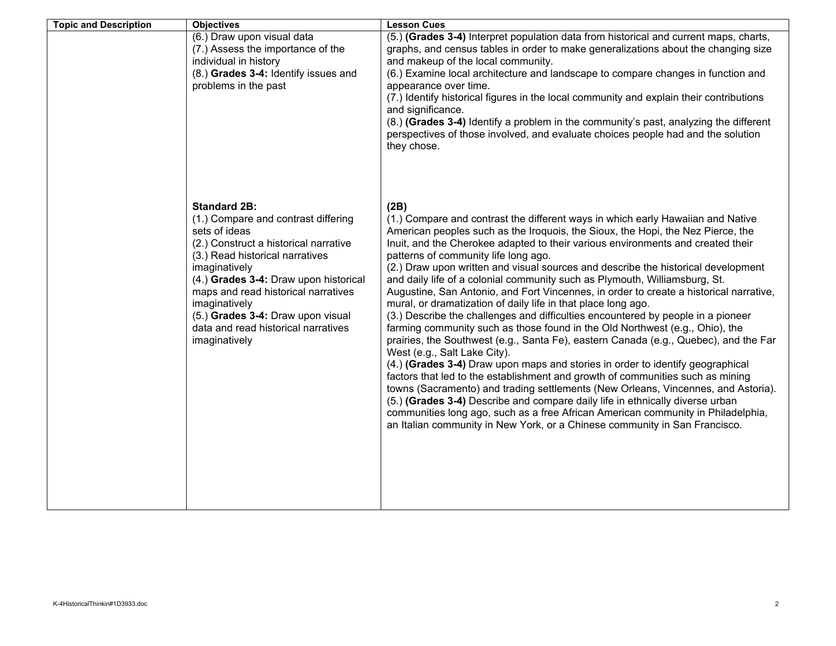| <b>Topic and Description</b> | <b>Objectives</b>                                                                                                                                                                                                                                                                                                                                                      | <b>Lesson Cues</b>                                                                                                                                                                                                                                                                                                                                                                                                                                                                                                                                                                                                                                                                                                                                                                                                                                                                                                                                                                                                                                                                                                                                                                                                                                                                                                                                                                                                                          |
|------------------------------|------------------------------------------------------------------------------------------------------------------------------------------------------------------------------------------------------------------------------------------------------------------------------------------------------------------------------------------------------------------------|---------------------------------------------------------------------------------------------------------------------------------------------------------------------------------------------------------------------------------------------------------------------------------------------------------------------------------------------------------------------------------------------------------------------------------------------------------------------------------------------------------------------------------------------------------------------------------------------------------------------------------------------------------------------------------------------------------------------------------------------------------------------------------------------------------------------------------------------------------------------------------------------------------------------------------------------------------------------------------------------------------------------------------------------------------------------------------------------------------------------------------------------------------------------------------------------------------------------------------------------------------------------------------------------------------------------------------------------------------------------------------------------------------------------------------------------|
|                              | (6.) Draw upon visual data<br>(7.) Assess the importance of the<br>individual in history                                                                                                                                                                                                                                                                               | (5.) (Grades 3-4) Interpret population data from historical and current maps, charts,<br>graphs, and census tables in order to make generalizations about the changing size<br>and makeup of the local community.                                                                                                                                                                                                                                                                                                                                                                                                                                                                                                                                                                                                                                                                                                                                                                                                                                                                                                                                                                                                                                                                                                                                                                                                                           |
|                              | (8.) Grades 3-4: Identify issues and<br>problems in the past                                                                                                                                                                                                                                                                                                           | (6.) Examine local architecture and landscape to compare changes in function and<br>appearance over time.                                                                                                                                                                                                                                                                                                                                                                                                                                                                                                                                                                                                                                                                                                                                                                                                                                                                                                                                                                                                                                                                                                                                                                                                                                                                                                                                   |
|                              |                                                                                                                                                                                                                                                                                                                                                                        | (7.) Identify historical figures in the local community and explain their contributions<br>and significance.<br>(8.) (Grades 3-4) Identify a problem in the community's past, analyzing the different<br>perspectives of those involved, and evaluate choices people had and the solution<br>they chose.                                                                                                                                                                                                                                                                                                                                                                                                                                                                                                                                                                                                                                                                                                                                                                                                                                                                                                                                                                                                                                                                                                                                    |
|                              | <b>Standard 2B:</b><br>(1.) Compare and contrast differing<br>sets of ideas<br>(2.) Construct a historical narrative<br>(3.) Read historical narratives<br>imaginatively<br>(4.) Grades 3-4: Draw upon historical<br>maps and read historical narratives<br>imaginatively<br>(5.) Grades 3-4: Draw upon visual<br>data and read historical narratives<br>imaginatively | (2B)<br>(1.) Compare and contrast the different ways in which early Hawaiian and Native<br>American peoples such as the Iroquois, the Sioux, the Hopi, the Nez Pierce, the<br>Inuit, and the Cherokee adapted to their various environments and created their<br>patterns of community life long ago.<br>(2.) Draw upon written and visual sources and describe the historical development<br>and daily life of a colonial community such as Plymouth, Williamsburg, St.<br>Augustine, San Antonio, and Fort Vincennes, in order to create a historical narrative,<br>mural, or dramatization of daily life in that place long ago.<br>(3.) Describe the challenges and difficulties encountered by people in a pioneer<br>farming community such as those found in the Old Northwest (e.g., Ohio), the<br>prairies, the Southwest (e.g., Santa Fe), eastern Canada (e.g., Quebec), and the Far<br>West (e.g., Salt Lake City).<br>(4.) (Grades 3-4) Draw upon maps and stories in order to identify geographical<br>factors that led to the establishment and growth of communities such as mining<br>towns (Sacramento) and trading settlements (New Orleans, Vincennes, and Astoria).<br>(5.) (Grades 3-4) Describe and compare daily life in ethnically diverse urban<br>communities long ago, such as a free African American community in Philadelphia,<br>an Italian community in New York, or a Chinese community in San Francisco. |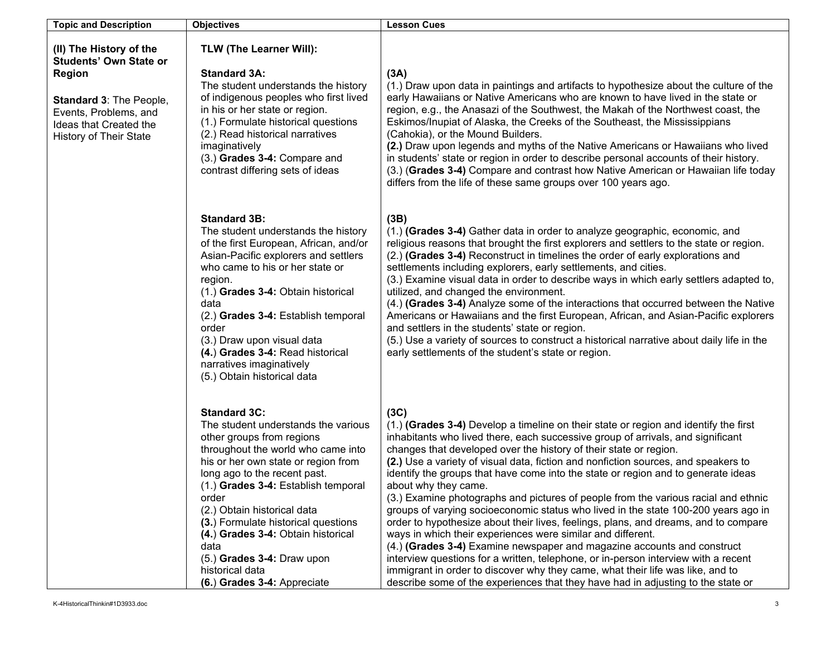| <b>Topic and Description</b>                                                                                                                                                             | <b>Objectives</b>                                                                                                                                                                                                                                                                                                                                                                                                                                          | <b>Lesson Cues</b>                                                                                                                                                                                                                                                                                                                                                                                                                                                                                                                                                                                                                                                                                                                                                                                                                                                                                                                                                                                                                                                                                                               |
|------------------------------------------------------------------------------------------------------------------------------------------------------------------------------------------|------------------------------------------------------------------------------------------------------------------------------------------------------------------------------------------------------------------------------------------------------------------------------------------------------------------------------------------------------------------------------------------------------------------------------------------------------------|----------------------------------------------------------------------------------------------------------------------------------------------------------------------------------------------------------------------------------------------------------------------------------------------------------------------------------------------------------------------------------------------------------------------------------------------------------------------------------------------------------------------------------------------------------------------------------------------------------------------------------------------------------------------------------------------------------------------------------------------------------------------------------------------------------------------------------------------------------------------------------------------------------------------------------------------------------------------------------------------------------------------------------------------------------------------------------------------------------------------------------|
| (II) The History of the<br><b>Students' Own State or</b><br><b>Region</b><br><b>Standard 3: The People,</b><br>Events, Problems, and<br>Ideas that Created the<br>History of Their State | TLW (The Learner Will):<br><b>Standard 3A:</b><br>The student understands the history<br>of indigenous peoples who first lived<br>in his or her state or region.<br>(1.) Formulate historical questions<br>(2.) Read historical narratives<br>imaginatively<br>(3.) Grades 3-4: Compare and<br>contrast differing sets of ideas                                                                                                                            | (3A)<br>(1.) Draw upon data in paintings and artifacts to hypothesize about the culture of the<br>early Hawaiians or Native Americans who are known to have lived in the state or<br>region, e.g., the Anasazi of the Southwest, the Makah of the Northwest coast, the<br>Eskimos/Inupiat of Alaska, the Creeks of the Southeast, the Mississippians<br>(Cahokia), or the Mound Builders.<br>(2.) Draw upon legends and myths of the Native Americans or Hawaiians who lived<br>in students' state or region in order to describe personal accounts of their history.<br>(3.) (Grades 3-4) Compare and contrast how Native American or Hawaiian life today<br>differs from the life of these same groups over 100 years ago.                                                                                                                                                                                                                                                                                                                                                                                                     |
|                                                                                                                                                                                          | <b>Standard 3B:</b><br>The student understands the history<br>of the first European, African, and/or<br>Asian-Pacific explorers and settlers<br>who came to his or her state or<br>region.<br>(1.) Grades 3-4: Obtain historical<br>data<br>(2.) Grades 3-4: Establish temporal<br>order<br>(3.) Draw upon visual data<br>(4.) Grades 3-4: Read historical<br>narratives imaginatively<br>(5.) Obtain historical data                                      | (3B)<br>(1.) (Grades 3-4) Gather data in order to analyze geographic, economic, and<br>religious reasons that brought the first explorers and settlers to the state or region.<br>(2.) (Grades 3-4) Reconstruct in timelines the order of early explorations and<br>settlements including explorers, early settlements, and cities.<br>(3.) Examine visual data in order to describe ways in which early settlers adapted to,<br>utilized, and changed the environment.<br>(4.) (Grades 3-4) Analyze some of the interactions that occurred between the Native<br>Americans or Hawaiians and the first European, African, and Asian-Pacific explorers<br>and settlers in the students' state or region.<br>(5.) Use a variety of sources to construct a historical narrative about daily life in the<br>early settlements of the student's state or region.                                                                                                                                                                                                                                                                      |
|                                                                                                                                                                                          | <b>Standard 3C:</b><br>The student understands the various<br>other groups from regions<br>throughout the world who came into<br>his or her own state or region from<br>long ago to the recent past.<br>(1.) Grades 3-4: Establish temporal<br>order<br>(2.) Obtain historical data<br>(3.) Formulate historical questions<br>(4.) Grades 3-4: Obtain historical<br>data<br>$(5.)$ Grades 3-4: Draw upon<br>historical data<br>(6.) Grades 3-4: Appreciate | (3C)<br>(1.) (Grades 3-4) Develop a timeline on their state or region and identify the first<br>inhabitants who lived there, each successive group of arrivals, and significant<br>changes that developed over the history of their state or region.<br>(2.) Use a variety of visual data, fiction and nonfiction sources, and speakers to<br>identify the groups that have come into the state or region and to generate ideas<br>about why they came.<br>(3.) Examine photographs and pictures of people from the various racial and ethnic<br>groups of varying socioeconomic status who lived in the state 100-200 years ago in<br>order to hypothesize about their lives, feelings, plans, and dreams, and to compare<br>ways in which their experiences were similar and different.<br>(4.) (Grades 3-4) Examine newspaper and magazine accounts and construct<br>interview questions for a written, telephone, or in-person interview with a recent<br>immigrant in order to discover why they came, what their life was like, and to<br>describe some of the experiences that they have had in adjusting to the state or |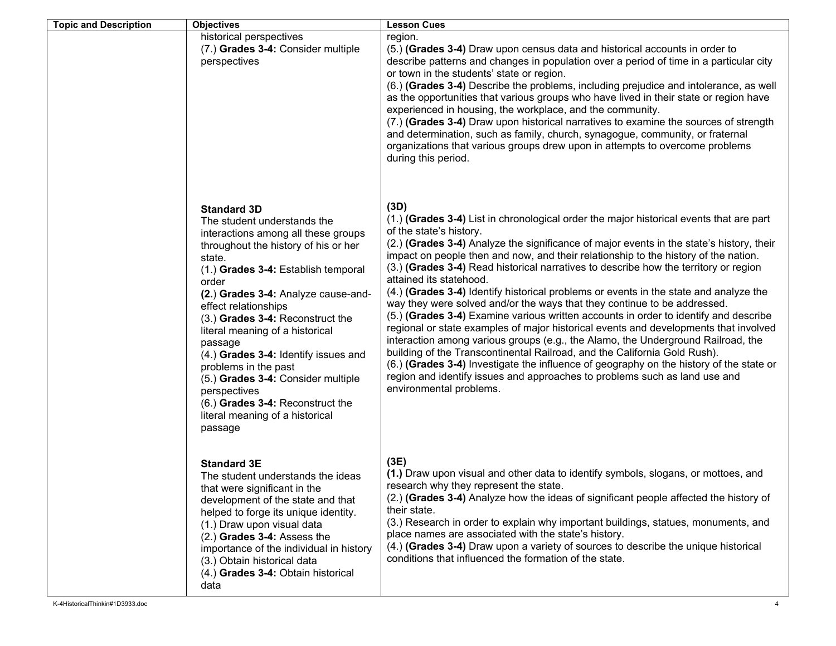| <b>Topic and Description</b> | <b>Objectives</b>                                                                                                                                                                                                                                                                                                                                                                                                                                                                                                                                   | <b>Lesson Cues</b>                                                                                                                                                                                                                                                                                                                                                                                                                                                                                                                                                                                                                                                                                                                                                                                                                                                                                                                                                                                                                                                                                                                                         |
|------------------------------|-----------------------------------------------------------------------------------------------------------------------------------------------------------------------------------------------------------------------------------------------------------------------------------------------------------------------------------------------------------------------------------------------------------------------------------------------------------------------------------------------------------------------------------------------------|------------------------------------------------------------------------------------------------------------------------------------------------------------------------------------------------------------------------------------------------------------------------------------------------------------------------------------------------------------------------------------------------------------------------------------------------------------------------------------------------------------------------------------------------------------------------------------------------------------------------------------------------------------------------------------------------------------------------------------------------------------------------------------------------------------------------------------------------------------------------------------------------------------------------------------------------------------------------------------------------------------------------------------------------------------------------------------------------------------------------------------------------------------|
|                              | historical perspectives<br>(7.) Grades 3-4: Consider multiple<br>perspectives                                                                                                                                                                                                                                                                                                                                                                                                                                                                       | region.<br>(5.) (Grades 3-4) Draw upon census data and historical accounts in order to<br>describe patterns and changes in population over a period of time in a particular city<br>or town in the students' state or region.<br>(6.) (Grades 3-4) Describe the problems, including prejudice and intolerance, as well<br>as the opportunities that various groups who have lived in their state or region have<br>experienced in housing, the workplace, and the community.<br>(7.) (Grades 3-4) Draw upon historical narratives to examine the sources of strength<br>and determination, such as family, church, synagogue, community, or fraternal<br>organizations that various groups drew upon in attempts to overcome problems<br>during this period.                                                                                                                                                                                                                                                                                                                                                                                               |
|                              | <b>Standard 3D</b><br>The student understands the<br>interactions among all these groups<br>throughout the history of his or her<br>state.<br>(1.) Grades 3-4: Establish temporal<br>order<br>(2.) Grades 3-4: Analyze cause-and-<br>effect relationships<br>(3.) Grades 3-4: Reconstruct the<br>literal meaning of a historical<br>passage<br>(4.) Grades 3-4: Identify issues and<br>problems in the past<br>(5.) Grades 3-4: Consider multiple<br>perspectives<br>(6.) Grades 3-4: Reconstruct the<br>literal meaning of a historical<br>passage | (3D)<br>(1.) (Grades 3-4) List in chronological order the major historical events that are part<br>of the state's history.<br>(2.) (Grades 3-4) Analyze the significance of major events in the state's history, their<br>impact on people then and now, and their relationship to the history of the nation.<br>(3.) (Grades 3-4) Read historical narratives to describe how the territory or region<br>attained its statehood.<br>(4.) (Grades 3-4) Identify historical problems or events in the state and analyze the<br>way they were solved and/or the ways that they continue to be addressed.<br>(5.) (Grades 3-4) Examine various written accounts in order to identify and describe<br>regional or state examples of major historical events and developments that involved<br>interaction among various groups (e.g., the Alamo, the Underground Railroad, the<br>building of the Transcontinental Railroad, and the California Gold Rush).<br>(6.) (Grades 3-4) Investigate the influence of geography on the history of the state or<br>region and identify issues and approaches to problems such as land use and<br>environmental problems. |
|                              | <b>Standard 3E</b><br>The student understands the ideas<br>that were significant in the<br>development of the state and that<br>helped to forge its unique identity.<br>(1.) Draw upon visual data<br>(2.) Grades 3-4: Assess the<br>importance of the individual in history<br>(3.) Obtain historical data<br>(4.) Grades 3-4: Obtain historical<br>data                                                                                                                                                                                           | (3E)<br>(1.) Draw upon visual and other data to identify symbols, slogans, or mottoes, and<br>research why they represent the state.<br>(2.) (Grades 3-4) Analyze how the ideas of significant people affected the history of<br>their state.<br>(3.) Research in order to explain why important buildings, statues, monuments, and<br>place names are associated with the state's history.<br>(4.) (Grades 3-4) Draw upon a variety of sources to describe the unique historical<br>conditions that influenced the formation of the state.                                                                                                                                                                                                                                                                                                                                                                                                                                                                                                                                                                                                                |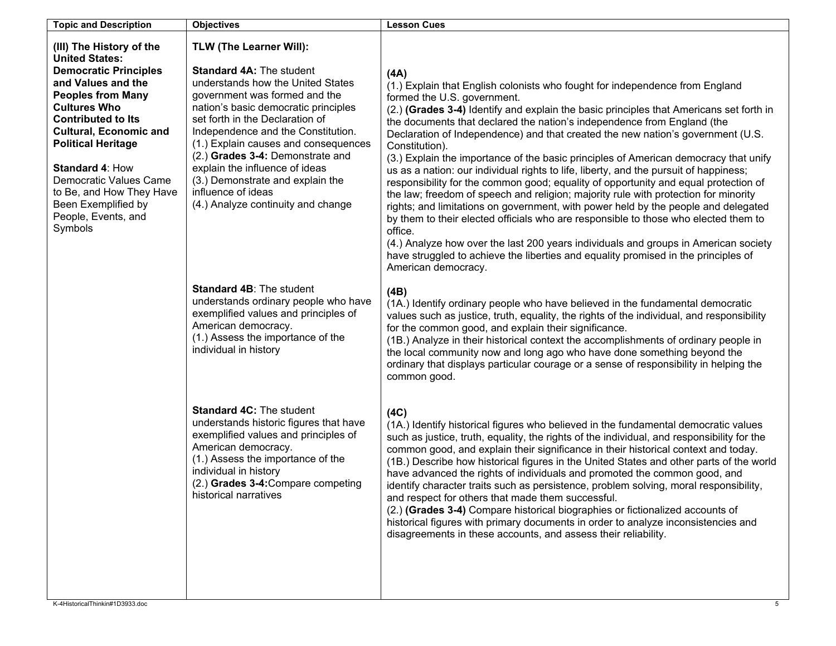| <b>Topic and Description</b>                                                                                                                                                                                                                                                                                                                                                            | <b>Objectives</b>                                                                                                                                                                                                                                                                                                                                                                                                                                                      | <b>Lesson Cues</b>                                                                                                                                                                                                                                                                                                                                                                                                                                                                                                                                                                                                                                                                                                                                                                                                                                                                                                                                                                                                                                                                                                                                        |
|-----------------------------------------------------------------------------------------------------------------------------------------------------------------------------------------------------------------------------------------------------------------------------------------------------------------------------------------------------------------------------------------|------------------------------------------------------------------------------------------------------------------------------------------------------------------------------------------------------------------------------------------------------------------------------------------------------------------------------------------------------------------------------------------------------------------------------------------------------------------------|-----------------------------------------------------------------------------------------------------------------------------------------------------------------------------------------------------------------------------------------------------------------------------------------------------------------------------------------------------------------------------------------------------------------------------------------------------------------------------------------------------------------------------------------------------------------------------------------------------------------------------------------------------------------------------------------------------------------------------------------------------------------------------------------------------------------------------------------------------------------------------------------------------------------------------------------------------------------------------------------------------------------------------------------------------------------------------------------------------------------------------------------------------------|
| (III) The History of the<br><b>United States:</b><br><b>Democratic Principles</b><br>and Values and the<br><b>Peoples from Many</b><br><b>Cultures Who</b><br><b>Contributed to Its</b><br><b>Cultural, Economic and</b><br><b>Political Heritage</b><br>Standard 4: How<br>Democratic Values Came<br>to Be, and How They Have<br>Been Exemplified by<br>People, Events, and<br>Symbols | <b>TLW (The Learner Will):</b><br><b>Standard 4A: The student</b><br>understands how the United States<br>government was formed and the<br>nation's basic democratic principles<br>set forth in the Declaration of<br>Independence and the Constitution.<br>(1.) Explain causes and consequences<br>(2.) Grades 3-4: Demonstrate and<br>explain the influence of ideas<br>(3.) Demonstrate and explain the<br>influence of ideas<br>(4.) Analyze continuity and change | (AA)<br>(1.) Explain that English colonists who fought for independence from England<br>formed the U.S. government.<br>(2.) (Grades 3-4) Identify and explain the basic principles that Americans set forth in<br>the documents that declared the nation's independence from England (the<br>Declaration of Independence) and that created the new nation's government (U.S.<br>Constitution).<br>(3.) Explain the importance of the basic principles of American democracy that unify<br>us as a nation: our individual rights to life, liberty, and the pursuit of happiness;<br>responsibility for the common good; equality of opportunity and equal protection of<br>the law; freedom of speech and religion; majority rule with protection for minority<br>rights; and limitations on government, with power held by the people and delegated<br>by them to their elected officials who are responsible to those who elected them to<br>office.<br>(4.) Analyze how over the last 200 years individuals and groups in American society<br>have struggled to achieve the liberties and equality promised in the principles of<br>American democracy. |
|                                                                                                                                                                                                                                                                                                                                                                                         | Standard 4B: The student<br>understands ordinary people who have<br>exemplified values and principles of<br>American democracy.<br>(1.) Assess the importance of the<br>individual in history                                                                                                                                                                                                                                                                          | (4B)<br>(1A.) Identify ordinary people who have believed in the fundamental democratic<br>values such as justice, truth, equality, the rights of the individual, and responsibility<br>for the common good, and explain their significance.<br>(1B.) Analyze in their historical context the accomplishments of ordinary people in<br>the local community now and long ago who have done something beyond the<br>ordinary that displays particular courage or a sense of responsibility in helping the<br>common good.                                                                                                                                                                                                                                                                                                                                                                                                                                                                                                                                                                                                                                    |
|                                                                                                                                                                                                                                                                                                                                                                                         | <b>Standard 4C: The student</b><br>understands historic figures that have<br>exemplified values and principles of<br>American democracy.<br>(1.) Assess the importance of the<br>individual in history<br>(2.) Grades 3-4: Compare competing<br>historical narratives                                                                                                                                                                                                  | (4C)<br>(1A.) Identify historical figures who believed in the fundamental democratic values<br>such as justice, truth, equality, the rights of the individual, and responsibility for the<br>common good, and explain their significance in their historical context and today.<br>(1B.) Describe how historical figures in the United States and other parts of the world<br>have advanced the rights of individuals and promoted the common good, and<br>identify character traits such as persistence, problem solving, moral responsibility,<br>and respect for others that made them successful.<br>(2.) (Grades 3-4) Compare historical biographies or fictionalized accounts of<br>historical figures with primary documents in order to analyze inconsistencies and<br>disagreements in these accounts, and assess their reliability.                                                                                                                                                                                                                                                                                                             |
| K-4HistoricalThinkin#1D3933.doc                                                                                                                                                                                                                                                                                                                                                         |                                                                                                                                                                                                                                                                                                                                                                                                                                                                        | 5 <sub>5</sub>                                                                                                                                                                                                                                                                                                                                                                                                                                                                                                                                                                                                                                                                                                                                                                                                                                                                                                                                                                                                                                                                                                                                            |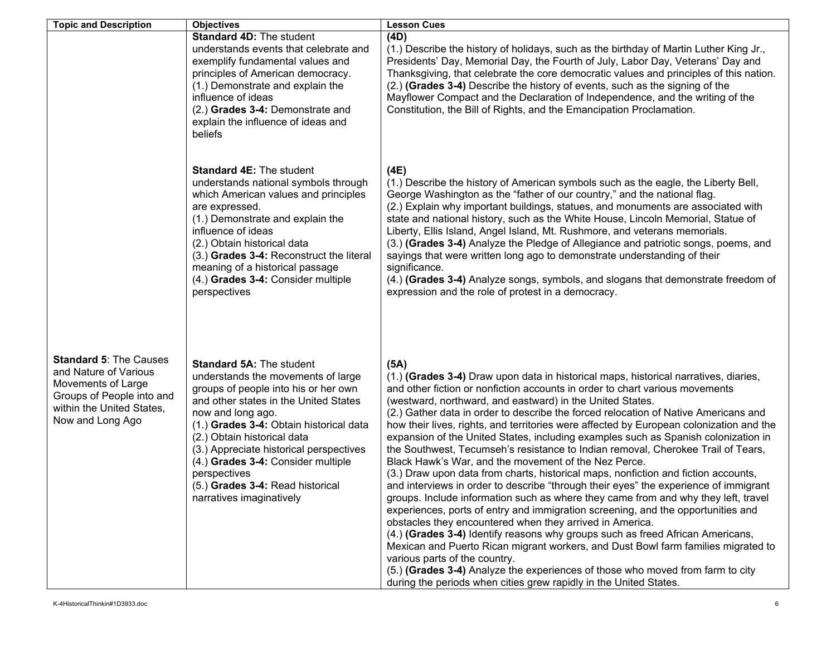| <b>Topic and Description</b>                                                                                                                               | <b>Objectives</b>                                                                                                                                                                                                                                                                                                                                                                                                      | <b>Lesson Cues</b>                                                                                                                                                                                                                                                                                                                                                                                                                                                                                                                                                                                                                                                                                                                                                                                                                                                                                                                                                                                                                                                                                                                                                                                                                                                                                                                                                                                                                               |
|------------------------------------------------------------------------------------------------------------------------------------------------------------|------------------------------------------------------------------------------------------------------------------------------------------------------------------------------------------------------------------------------------------------------------------------------------------------------------------------------------------------------------------------------------------------------------------------|--------------------------------------------------------------------------------------------------------------------------------------------------------------------------------------------------------------------------------------------------------------------------------------------------------------------------------------------------------------------------------------------------------------------------------------------------------------------------------------------------------------------------------------------------------------------------------------------------------------------------------------------------------------------------------------------------------------------------------------------------------------------------------------------------------------------------------------------------------------------------------------------------------------------------------------------------------------------------------------------------------------------------------------------------------------------------------------------------------------------------------------------------------------------------------------------------------------------------------------------------------------------------------------------------------------------------------------------------------------------------------------------------------------------------------------------------|
|                                                                                                                                                            | <b>Standard 4D: The student</b><br>understands events that celebrate and<br>exemplify fundamental values and<br>principles of American democracy.<br>(1.) Demonstrate and explain the<br>influence of ideas<br>(2.) Grades 3-4: Demonstrate and<br>explain the influence of ideas and<br>beliefs                                                                                                                       | (4D)<br>(1.) Describe the history of holidays, such as the birthday of Martin Luther King Jr.,<br>Presidents' Day, Memorial Day, the Fourth of July, Labor Day, Veterans' Day and<br>Thanksgiving, that celebrate the core democratic values and principles of this nation.<br>(2.) (Grades 3-4) Describe the history of events, such as the signing of the<br>Mayflower Compact and the Declaration of Independence, and the writing of the<br>Constitution, the Bill of Rights, and the Emancipation Proclamation.                                                                                                                                                                                                                                                                                                                                                                                                                                                                                                                                                                                                                                                                                                                                                                                                                                                                                                                             |
|                                                                                                                                                            | <b>Standard 4E: The student</b><br>understands national symbols through<br>which American values and principles<br>are expressed.<br>(1.) Demonstrate and explain the<br>influence of ideas<br>(2.) Obtain historical data<br>(3.) Grades 3-4: Reconstruct the literal<br>meaning of a historical passage<br>(4.) Grades 3-4: Consider multiple<br>perspectives                                                        | (4E)<br>(1.) Describe the history of American symbols such as the eagle, the Liberty Bell,<br>George Washington as the "father of our country," and the national flag.<br>(2.) Explain why important buildings, statues, and monuments are associated with<br>state and national history, such as the White House, Lincoln Memorial, Statue of<br>Liberty, Ellis Island, Angel Island, Mt. Rushmore, and veterans memorials.<br>(3.) (Grades 3-4) Analyze the Pledge of Allegiance and patriotic songs, poems, and<br>sayings that were written long ago to demonstrate understanding of their<br>significance.<br>(4.) (Grades 3-4) Analyze songs, symbols, and slogans that demonstrate freedom of<br>expression and the role of protest in a democracy.                                                                                                                                                                                                                                                                                                                                                                                                                                                                                                                                                                                                                                                                                       |
| <b>Standard 5: The Causes</b><br>and Nature of Various<br>Movements of Large<br>Groups of People into and<br>within the United States,<br>Now and Long Ago | <b>Standard 5A: The student</b><br>understands the movements of large<br>groups of people into his or her own<br>and other states in the United States<br>now and long ago.<br>(1.) Grades 3-4: Obtain historical data<br>(2.) Obtain historical data<br>(3.) Appreciate historical perspectives<br>(4.) Grades 3-4: Consider multiple<br>perspectives<br>(5.) Grades 3-4: Read historical<br>narratives imaginatively | (5A)<br>(1.) (Grades 3-4) Draw upon data in historical maps, historical narratives, diaries,<br>and other fiction or nonfiction accounts in order to chart various movements<br>(westward, northward, and eastward) in the United States.<br>(2.) Gather data in order to describe the forced relocation of Native Americans and<br>how their lives, rights, and territories were affected by European colonization and the<br>expansion of the United States, including examples such as Spanish colonization in<br>the Southwest, Tecumseh's resistance to Indian removal, Cherokee Trail of Tears,<br>Black Hawk's War, and the movement of the Nez Perce.<br>(3.) Draw upon data from charts, historical maps, nonfiction and fiction accounts,<br>and interviews in order to describe "through their eyes" the experience of immigrant<br>groups. Include information such as where they came from and why they left, travel<br>experiences, ports of entry and immigration screening, and the opportunities and<br>obstacles they encountered when they arrived in America.<br>(4.) (Grades 3-4) Identify reasons why groups such as freed African Americans,<br>Mexican and Puerto Rican migrant workers, and Dust Bowl farm families migrated to<br>various parts of the country.<br>(5.) (Grades 3-4) Analyze the experiences of those who moved from farm to city<br>during the periods when cities grew rapidly in the United States. |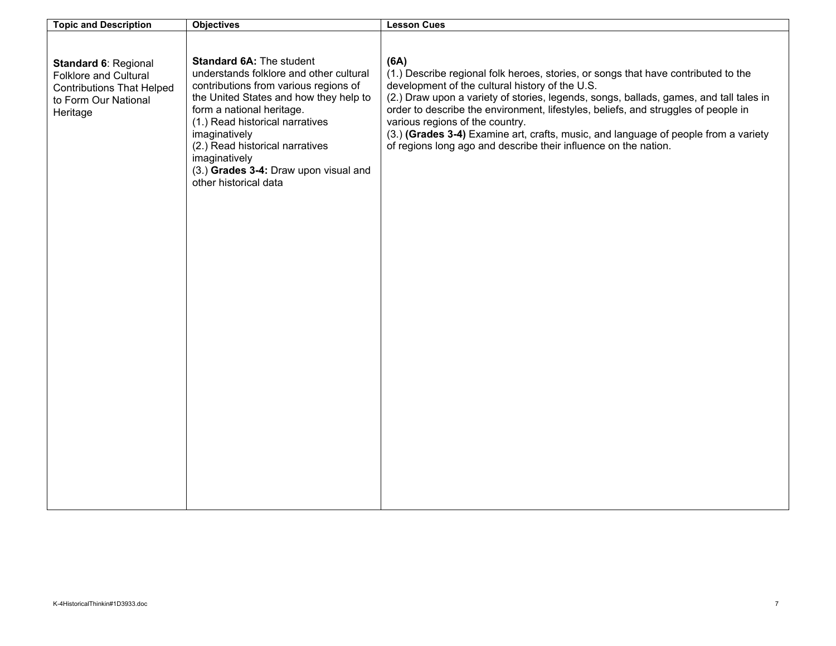| <b>Topic and Description</b>                                                                                          | <b>Objectives</b>                                                                                                                                                                                                                                                                                                                                                    | <b>Lesson Cues</b>                                                                                                                                                                                                                                                                                                                                                                                                                                                                                                         |
|-----------------------------------------------------------------------------------------------------------------------|----------------------------------------------------------------------------------------------------------------------------------------------------------------------------------------------------------------------------------------------------------------------------------------------------------------------------------------------------------------------|----------------------------------------------------------------------------------------------------------------------------------------------------------------------------------------------------------------------------------------------------------------------------------------------------------------------------------------------------------------------------------------------------------------------------------------------------------------------------------------------------------------------------|
| Standard 6: Regional<br>Folklore and Cultural<br><b>Contributions That Helped</b><br>to Form Our National<br>Heritage | <b>Standard 6A: The student</b><br>understands folklore and other cultural<br>contributions from various regions of<br>the United States and how they help to<br>form a national heritage.<br>(1.) Read historical narratives<br>imaginatively<br>(2.) Read historical narratives<br>imaginatively<br>(3.) Grades 3-4: Draw upon visual and<br>other historical data | (6A)<br>(1.) Describe regional folk heroes, stories, or songs that have contributed to the<br>development of the cultural history of the U.S.<br>(2.) Draw upon a variety of stories, legends, songs, ballads, games, and tall tales in<br>order to describe the environment, lifestyles, beliefs, and struggles of people in<br>various regions of the country.<br>(3.) (Grades 3-4) Examine art, crafts, music, and language of people from a variety<br>of regions long ago and describe their influence on the nation. |
|                                                                                                                       |                                                                                                                                                                                                                                                                                                                                                                      |                                                                                                                                                                                                                                                                                                                                                                                                                                                                                                                            |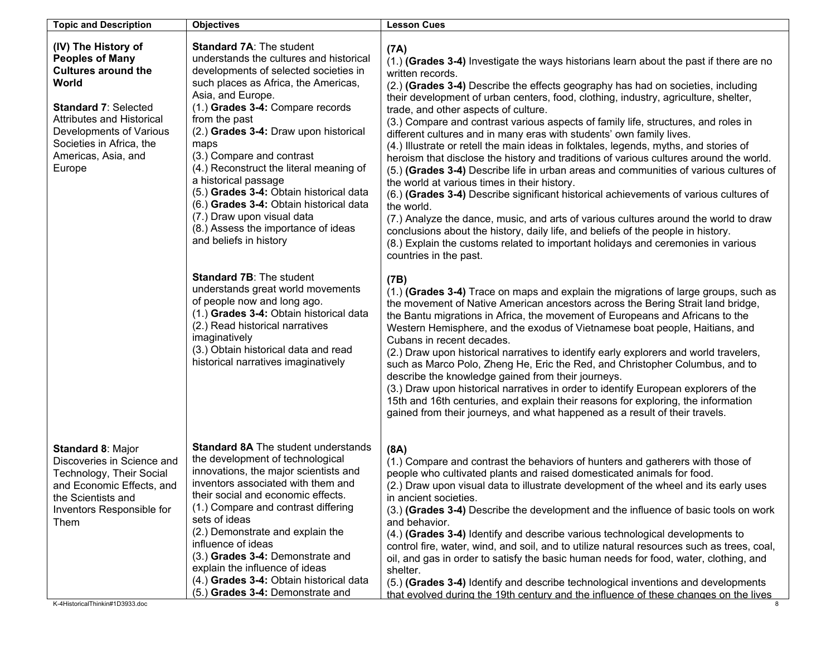| <b>Topic and Description</b>                                                                                                                                                                                                                    | <b>Objectives</b>                                                                                                                                                                                                                                                                                                                                                                                                                                                                                                                                                           | <b>Lesson Cues</b>                                                                                                                                                                                                                                                                                                                                                                                                                                                                                                                                                                                                                                                                                                                                                                                                                                                                                                                                                                                                                                                                                                                                                                                                               |
|-------------------------------------------------------------------------------------------------------------------------------------------------------------------------------------------------------------------------------------------------|-----------------------------------------------------------------------------------------------------------------------------------------------------------------------------------------------------------------------------------------------------------------------------------------------------------------------------------------------------------------------------------------------------------------------------------------------------------------------------------------------------------------------------------------------------------------------------|----------------------------------------------------------------------------------------------------------------------------------------------------------------------------------------------------------------------------------------------------------------------------------------------------------------------------------------------------------------------------------------------------------------------------------------------------------------------------------------------------------------------------------------------------------------------------------------------------------------------------------------------------------------------------------------------------------------------------------------------------------------------------------------------------------------------------------------------------------------------------------------------------------------------------------------------------------------------------------------------------------------------------------------------------------------------------------------------------------------------------------------------------------------------------------------------------------------------------------|
| (IV) The History of<br><b>Peoples of Many</b><br><b>Cultures around the</b><br>World<br><b>Standard 7: Selected</b><br><b>Attributes and Historical</b><br>Developments of Various<br>Societies in Africa, the<br>Americas, Asia, and<br>Europe | <b>Standard 7A: The student</b><br>understands the cultures and historical<br>developments of selected societies in<br>such places as Africa, the Americas,<br>Asia, and Europe.<br>(1.) Grades 3-4: Compare records<br>from the past<br>(2.) Grades 3-4: Draw upon historical<br>maps<br>(3.) Compare and contrast<br>(4.) Reconstruct the literal meaning of<br>a historical passage<br>(5.) Grades 3-4: Obtain historical data<br>(6.) Grades 3-4: Obtain historical data<br>(7.) Draw upon visual data<br>(8.) Assess the importance of ideas<br>and beliefs in history | (7A)<br>(1.) (Grades 3-4) Investigate the ways historians learn about the past if there are no<br>written records.<br>(2.) (Grades 3-4) Describe the effects geography has had on societies, including<br>their development of urban centers, food, clothing, industry, agriculture, shelter,<br>trade, and other aspects of culture.<br>(3.) Compare and contrast various aspects of family life, structures, and roles in<br>different cultures and in many eras with students' own family lives.<br>(4.) Illustrate or retell the main ideas in folktales, legends, myths, and stories of<br>heroism that disclose the history and traditions of various cultures around the world.<br>(5.) (Grades 3-4) Describe life in urban areas and communities of various cultures of<br>the world at various times in their history.<br>(6.) (Grades 3-4) Describe significant historical achievements of various cultures of<br>the world.<br>(7.) Analyze the dance, music, and arts of various cultures around the world to draw<br>conclusions about the history, daily life, and beliefs of the people in history.<br>(8.) Explain the customs related to important holidays and ceremonies in various<br>countries in the past. |
|                                                                                                                                                                                                                                                 | <b>Standard 7B: The student</b><br>understands great world movements<br>of people now and long ago.<br>(1.) Grades 3-4: Obtain historical data<br>(2.) Read historical narratives<br>imaginatively<br>(3.) Obtain historical data and read<br>historical narratives imaginatively                                                                                                                                                                                                                                                                                           | (7B)<br>(1.) (Grades 3-4) Trace on maps and explain the migrations of large groups, such as<br>the movement of Native American ancestors across the Bering Strait land bridge,<br>the Bantu migrations in Africa, the movement of Europeans and Africans to the<br>Western Hemisphere, and the exodus of Vietnamese boat people, Haitians, and<br>Cubans in recent decades.<br>(2.) Draw upon historical narratives to identify early explorers and world travelers,<br>such as Marco Polo, Zheng He, Eric the Red, and Christopher Columbus, and to<br>describe the knowledge gained from their journeys.<br>(3.) Draw upon historical narratives in order to identify European explorers of the<br>15th and 16th centuries, and explain their reasons for exploring, the information<br>gained from their journeys, and what happened as a result of their travels.                                                                                                                                                                                                                                                                                                                                                            |
| Standard 8: Major<br>Discoveries in Science and<br>Technology, Their Social<br>and Economic Effects, and<br>the Scientists and<br>Inventors Responsible for<br>Them<br>K-4HistoricalThinkin#1D3933.doc                                          | <b>Standard 8A The student understands</b><br>the development of technological<br>innovations, the major scientists and<br>inventors associated with them and<br>their social and economic effects.<br>(1.) Compare and contrast differing<br>sets of ideas<br>(2.) Demonstrate and explain the<br>influence of ideas<br>(3.) Grades 3-4: Demonstrate and<br>explain the influence of ideas<br>(4.) Grades 3-4: Obtain historical data<br>(5.) Grades 3-4: Demonstrate and                                                                                                  | (8A)<br>(1.) Compare and contrast the behaviors of hunters and gatherers with those of<br>people who cultivated plants and raised domesticated animals for food.<br>(2.) Draw upon visual data to illustrate development of the wheel and its early uses<br>in ancient societies.<br>(3.) (Grades 3-4) Describe the development and the influence of basic tools on work<br>and behavior.<br>(4.) (Grades 3-4) Identify and describe various technological developments to<br>control fire, water, wind, and soil, and to utilize natural resources such as trees, coal,<br>oil, and gas in order to satisfy the basic human needs for food, water, clothing, and<br>shelter.<br>(5.) (Grades 3-4) Identify and describe technological inventions and developments<br>that evolved during the 19th century and the influence of these changes on the lives                                                                                                                                                                                                                                                                                                                                                                       |